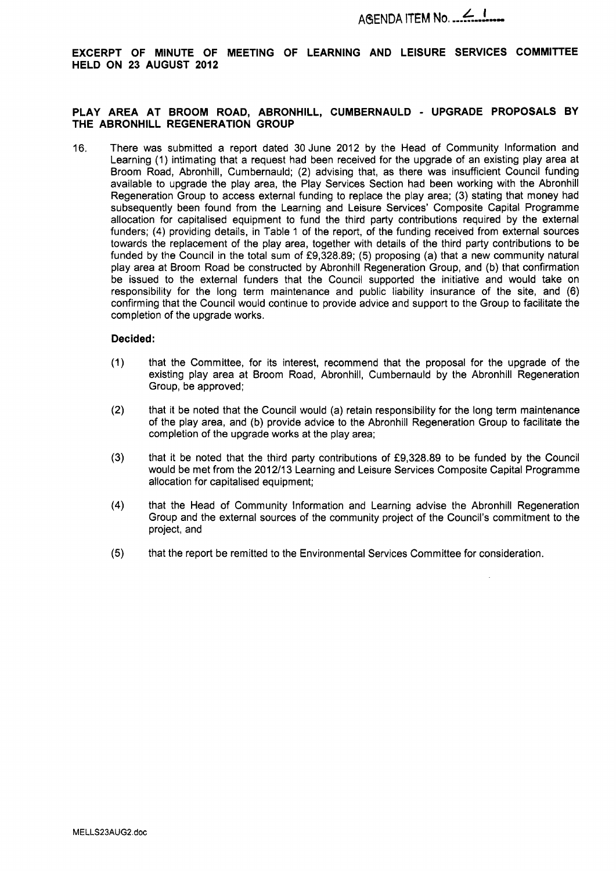**EXCERPT OF MINUTE OF MEETING OF LEARNING AND LEISURE SERVICES COMMITTEE HELD ON 23 AUGUST 2012** 

### **PLAY AREA AT BROOM ROAD, ABRONHILL, CUMBERNAULD** - **UPGRADE PROPOSALS BY THE ABRONHILL REGENERATION GROUP**

16. There was submitted a report dated 30 June 2012 by the Head of Community Information and Learning (1) intimating that a request had been received for the upgrade of an existing play area at Broom Road, Abronhill, Cumbernauld; (2) advising that, as there was insufficient Council funding available to upgrade the play area, the Play Services Section had been working with the Abronhill Regeneration Group to access external funding to replace the play area; (3) stating that money had subsequently been found from the Learning and Leisure Services' Composite Capital Programme allocation for capitalised equipment to fund the third party contributions required by the external funders; (4) providing details, in Table 1 of the report, of the funding received from external sources towards the replacement of the play area, together with details of the third party contributions to be funded by the Council in the total sum of £9,328.89; (5) proposing (a) that a new community natural play area at Broom Road be constructed by Abronhill Regeneration Group, and (b) that confirmation be issued to the external funders that the Council supported the initiative and would take on responsibility for the long term maintenance and public liability insurance of the site, and (6) confirming that the Council would continue to provide advice and support to the Group to facilitate the completion of the upgrade works.

### **Decided:**

- that the Committee, for its interest, recommend that the proposal for the upgrade of the  $(1)$ existing play area at Broom Road, Abronhill, Cumbernauld by the Abronhill Regeneration Group, be approved;
- $(2)$ that it be noted that the Council would (a) retain responsibility for the long term maintenance of the play area, and (b) provide advice to the Abronhill Regeneration Group to facilitate the completion of the upgrade works at the play area;
- $(3)$ that it be noted that the third party contributions of f9,328.89 to be funded by the Council would be met from the 2012/13 Learning and Leisure Services Composite Capital Programme allocation for capitalised equipment;
- $(4)$ that the Head of Community Information and Learning advise the Abronhill Regeneration Group and the external sources of the community project of the Council's commitment to the project, and
- $(5)$ that the report be remitted to the Environmental Services Committee for consideration.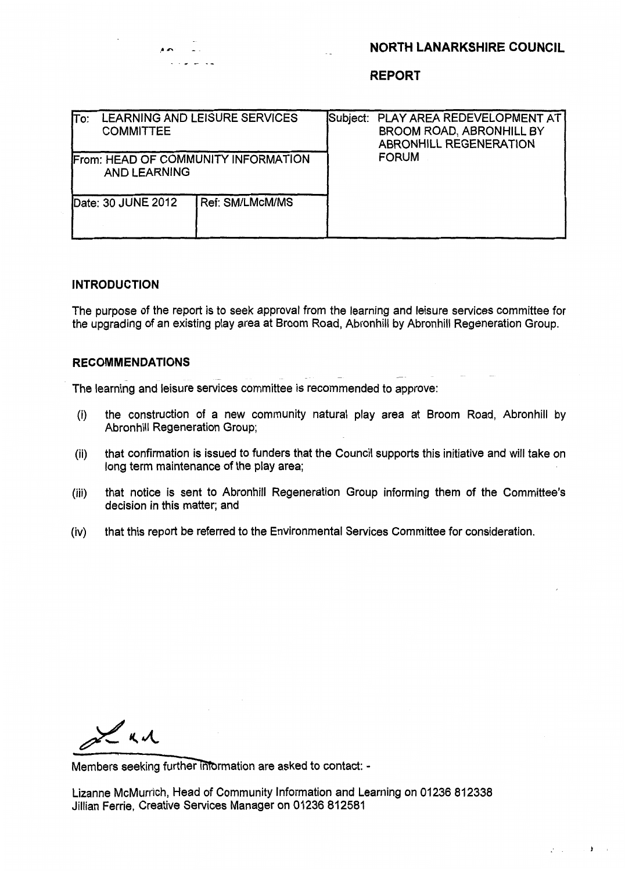# **NORTH LANARKSHIRE COUNCIL**

 $2\leq i\leq n-1$  .  $\mathbf{F}^{(i)}$  ,  $i\in\mathbb{N}$ 

| lΤo: | <b>COMMITTEE</b>                                           | LEARNING AND LEISURE SERVICES | Subject: PLAY AREA REDEVELOPMENT AT<br>BROOM ROAD, ABRONHILL BY<br><b>ABRONHILL REGENERATION</b> |
|------|------------------------------------------------------------|-------------------------------|--------------------------------------------------------------------------------------------------|
|      | From: HEAD OF COMMUNITY INFORMATION<br><b>AND LEARNING</b> |                               | <b>FORUM</b>                                                                                     |
|      | Date: 30 JUNE 2012                                         | Ref: SM/LMcM/MS               |                                                                                                  |

### **INTRODUCTION**

**AA** -. . . <u>.</u> .

The purpose of the report is to seek approval from the learning and leisure services committee for the upgrading of an existing play area at Broom Road, Abronhill by Abronhill Regeneration Group.

### **RECOMMENDATIONS** ~ -

The learning and leisure services committee is recommended to approve:

- (i) the construction of a new community natural play area at Broom Road, Abronhill by Abronhill Regeneration Group;
- (ii) that confirmation is issued to funders that the Council supports this initiative and will take on long term maintenance of the play area;
- (iii) that notice is sent to Abronhill Regeneration Group informing them of the Committee's decision in this matter; and
- (iv) that this report be referred to the Environmental Services Committee for consideration.

Lad

Members seeking further information are asked to contact: -

Lizanne McMurrich, Head of Community Information and Learning on 01236 812338 Jillian Ferrie, Creative Services Manager on 01236 **812581**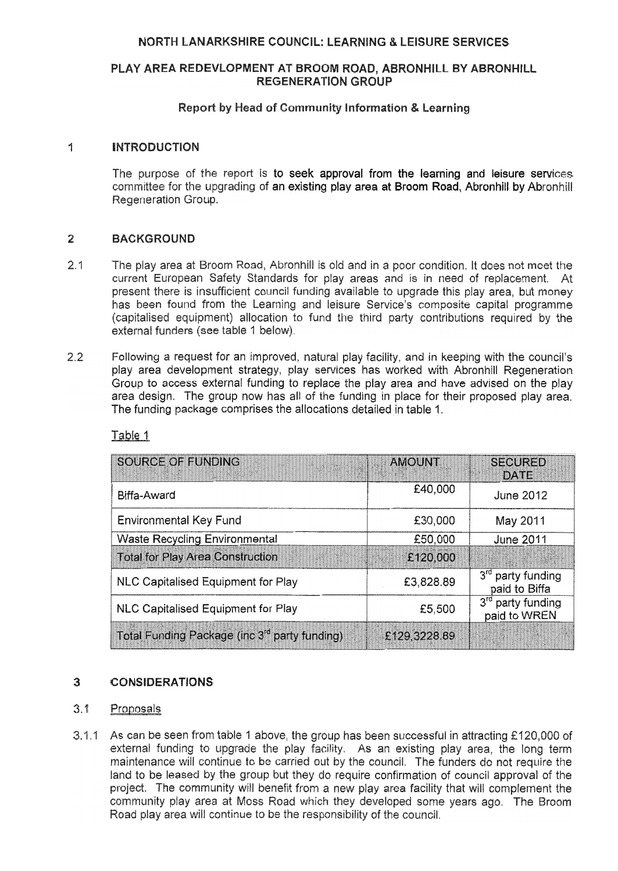# **NORTH LANARKSHIRE COUNCIL: LEARNING & LEISURE SERVICES**

## PLAY AREA REDEVLOPMENT AT BROOM ROAD, ABRONHILL BY ABRONHILL **REGENERATION GROUP**

## Report by Head of Community Information & Learning

#### $\frac{\Delta}{2}$ **INTRODUCTION**

The purpose of the report is to seek approval from the learning and leisure services committee for the upgrading of an existing play area at Broom Road, Abronhill by Abronhill Regeneration Group.

### $\overline{2}$ **BACKGROUND**

- $2.1$ The play area at Broom Road, Abronhill is old and in a poor condition. It does not meet the current European Safety Standards for play areas and is in need of replacement. At present there is insufficient council funding available to upgrade this play area, but money has been found from the Learning and leisure Service's composite capital programme (capitalised equipment) allocation to fund the third party contributions required by the external funders (see table 1 below).
- $2.2$ Following a request for an improved, natural play facility, and in keeping with the council's play area development strategy, play services has worked with Abronhill Regeneration Group to access external funding to replace the play area and have advised on the play area design. The group now has all of the funding in place for their proposed play area. The funding package comprises the allocations detailed in table 1.

| SOURCE OF FUNDING                                         | <b>AMOUNT</b> | <b>SECURED</b><br><b>DATE</b>                  |
|-----------------------------------------------------------|---------------|------------------------------------------------|
| Biffa-Award                                               | £40,000       | <b>June 2012</b>                               |
| <b>Environmental Key Fund</b>                             | £30,000       | May 2011                                       |
| <b>Waste Recycling Environmental</b>                      | £50,000       | <b>June 2011</b>                               |
| <b>Total for Play Area Construction</b>                   | £120,000      |                                                |
| NLC Capitalised Equipment for Play                        | £3,828.89     | 3 <sup>rd</sup> party funding<br>paid to Biffa |
| NLC Capitalised Equipment for Play                        | £5,500        | 3rd party funding<br>paid to WREN              |
| Total Funding Package (inc 3 <sup>rd</sup> party funding) | £129,3228.89  |                                                |

Table 1

### $3<sup>2</sup>$ **CONSIDERATIONS**

#### $3.1$ Proposals

3.1.1 As can be seen from table 1 above, the group has been successful in attracting £120,000 of external funding to upgrade the play facility. As an existing play area, the long term maintenance will continue to be carried out by the council. The funders do not require the land to be leased by the group but they do require confirmation of council approval of the project. The community will benefit from a new play area facility that will complement the community play area at Moss Road which they developed some years ago. The Broom Road play area will continue to be the responsibility of the council.